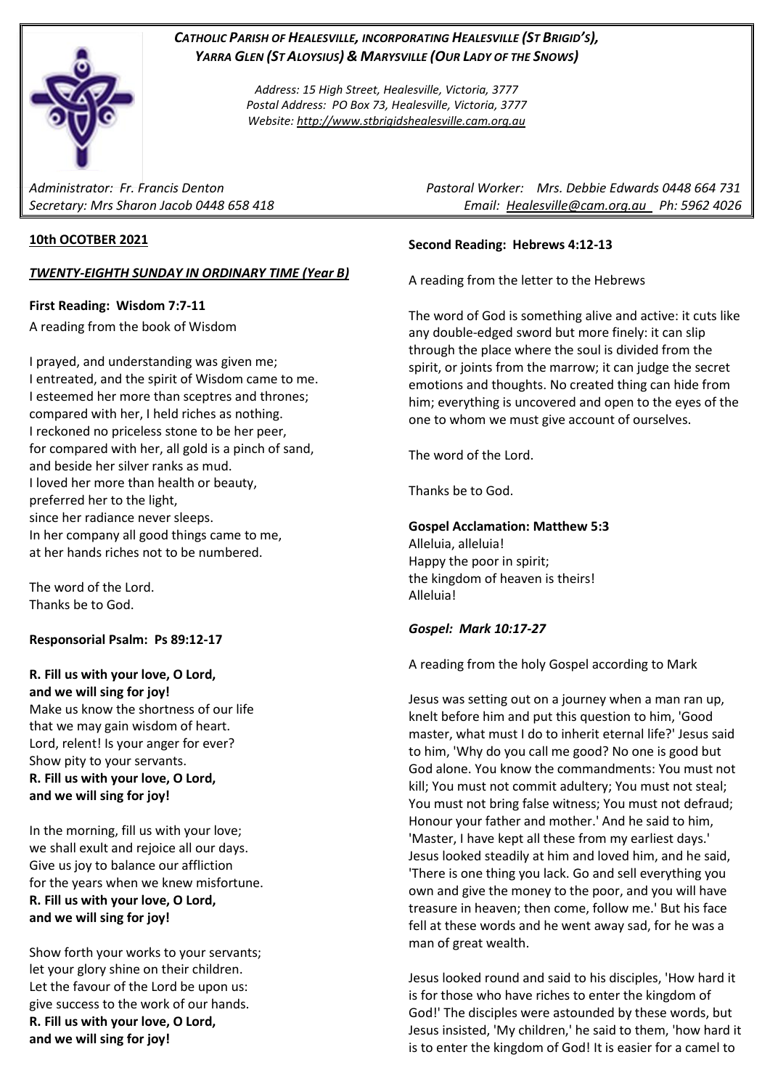

*CATHOLIC PARISH OF HEALESVILLE, INCORPORATING HEALESVILLE (ST BRIGID'S), YARRA GLEN (ST ALOYSIUS) & MARYSVILLE (OUR LADY OF THE SNOWS)*

> *Address: 15 High Street, Healesville, Victoria, 3777 Postal Address: PO Box 73, Healesville, Victoria, 3777 Website: [http://www.stbrigidshealesville.cam.org.au](http://www.stbrigidshealesville.cam.org.au/)*

## **10th OCOTBER 2021**

## *TWENTY-EIGHTH SUNDAY IN ORDINARY TIME (Year B)*

## **First Reading: Wisdom 7:7-11**

A reading from the book of Wisdom

I prayed, and understanding was given me; I entreated, and the spirit of Wisdom came to me. I esteemed her more than sceptres and thrones; compared with her, I held riches as nothing. I reckoned no priceless stone to be her peer, for compared with her, all gold is a pinch of sand, and beside her silver ranks as mud. I loved her more than health or beauty, preferred her to the light, since her radiance never sleeps. In her company all good things came to me, at her hands riches not to be numbered.

The word of the Lord. Thanks be to God.

## **Responsorial Psalm: Ps 89:12-17**

**R. Fill us with your love, O Lord, and we will sing for joy!** Make us know the shortness of our life that we may gain wisdom of heart. Lord, relent! Is your anger for ever? Show pity to your servants. **R. Fill us with your love, O Lord, and we will sing for joy!**

In the morning, fill us with your love; we shall exult and rejoice all our days. Give us joy to balance our affliction for the years when we knew misfortune. **R. Fill us with your love, O Lord, and we will sing for joy!**

Show forth your works to your servants; let your glory shine on their children. Let the favour of the Lord be upon us: give success to the work of our hands. **R. Fill us with your love, O Lord, and we will sing for joy!**

*Administrator: Fr. Francis Denton Pastoral Worker: Mrs. Debbie Edwards 0448 664 731 Secretary: Mrs Sharon Jacob 0448 658 418 Email: [Healesville@cam.org.au](mailto:Healesville@cam.org.au) Ph: 5962 4026* 

## **Second Reading: Hebrews 4:12-13**

A reading from the letter to the Hebrews

The word of God is something alive and active: it cuts like any double-edged sword but more finely: it can slip through the place where the soul is divided from the spirit, or joints from the marrow; it can judge the secret emotions and thoughts. No created thing can hide from him; everything is uncovered and open to the eyes of the one to whom we must give account of ourselves.

The word of the Lord.

Thanks be to God.

## **Gospel Acclamation: Matthew 5:3**

Alleluia, alleluia! Happy the poor in spirit; the kingdom of heaven is theirs! Alleluia!

## *Gospel: Mark 10:17-27*

A reading from the holy Gospel according to Mark

Jesus was setting out on a journey when a man ran up, knelt before him and put this question to him, 'Good master, what must I do to inherit eternal life?' Jesus said to him, 'Why do you call me good? No one is good but God alone. You know the commandments: You must not kill; You must not commit adultery; You must not steal; You must not bring false witness; You must not defraud; Honour your father and mother.' And he said to him, 'Master, I have kept all these from my earliest days.' Jesus looked steadily at him and loved him, and he said, 'There is one thing you lack. Go and sell everything you own and give the money to the poor, and you will have treasure in heaven; then come, follow me.' But his face fell at these words and he went away sad, for he was a man of great wealth.

Jesus looked round and said to his disciples, 'How hard it is for those who have riches to enter the kingdom of God!' The disciples were astounded by these words, but Jesus insisted, 'My children,' he said to them, 'how hard it is to enter the kingdom of God! It is easier for a camel to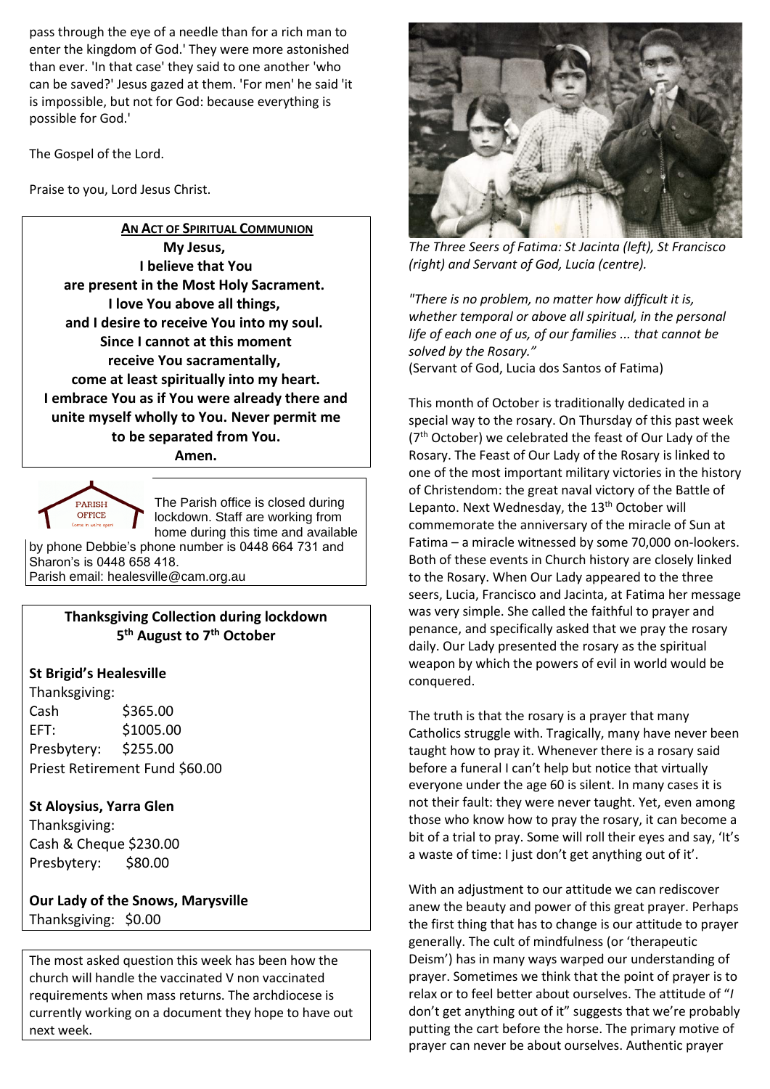pass through the eye of a needle than for a rich man to enter the kingdom of God.' They were more astonished than ever. 'In that case' they said to one another 'who can be saved?' Jesus gazed at them. 'For men' he said 'it is impossible, but not for God: because everything is possible for God.'

The Gospel of the Lord.

Praise to you, Lord Jesus Christ.

**AN ACT OF SPIRITUAL COMMUNION My Jesus, I believe that You are present in the Most Holy Sacrament. I love You above all things, and I desire to receive You into my soul. Since I cannot at this moment receive You sacramentally, come at least spiritually into my heart. I embrace You as if You were already there and unite myself wholly to You. Never permit me to be separated from You.**

**Amen.**



The Parish office is closed during lockdown. Staff are working from home during this time and available by phone Debbie's phone number is 0448 664 731 and

Sharon's is 0448 658 418. Parish email: healesville@cam.org.au

## **Thanksgiving Collection during lockdown 5 th August to 7th October**

## **St Brigid's Healesville**

Thanksgiving: Cash \$365.00 EFT: \$1005.00 Presbytery: \$255.00 Priest Retirement Fund \$60.00

**St Aloysius, Yarra Glen**  Thanksgiving: Cash & Cheque \$230.00 Presbytery: \$80.00

**Our Lady of the Snows, Marysville**  Thanksgiving: \$0.00

The most asked question this week has been how the church will handle the vaccinated V non vaccinated requirements when mass returns. The archdiocese is currently working on a document they hope to have out next week.



*The Three Seers of Fatima: St Jacinta (left), St Francisco (right) and Servant of God, Lucia (centre).*

*"There is no problem, no matter how difficult it is, whether temporal or above all spiritual, in the personal life of each one of us, of our families ... that cannot be solved by the Rosary."* (Servant of God, Lucia dos Santos of Fatima)

This month of October is traditionally dedicated in a special way to the rosary. On Thursday of this past week (7<sup>th</sup> October) we celebrated the feast of Our Lady of the Rosary. The Feast of Our Lady of the Rosary is linked to one of the most important military victories in the history of Christendom: the great naval victory of the Battle of Lepanto. Next Wednesday, the 13<sup>th</sup> October will commemorate the anniversary of the miracle of Sun at Fatima – a miracle witnessed by some 70,000 on-lookers. Both of these events in Church history are closely linked to the Rosary. When Our Lady appeared to the three seers, Lucia, Francisco and Jacinta, at Fatima her message was very simple. She called the faithful to prayer and penance, and specifically asked that we pray the rosary daily. Our Lady presented the rosary as the spiritual weapon by which the powers of evil in world would be conquered.

The truth is that the rosary is a prayer that many Catholics struggle with. Tragically, many have never been taught how to pray it. Whenever there is a rosary said before a funeral I can't help but notice that virtually everyone under the age 60 is silent. In many cases it is not their fault: they were never taught. Yet, even among those who know how to pray the rosary, it can become a bit of a trial to pray. Some will roll their eyes and say, 'It's a waste of time: I just don't get anything out of it'.

With an adjustment to our attitude we can rediscover anew the beauty and power of this great prayer. Perhaps the first thing that has to change is our attitude to prayer generally. The cult of mindfulness (or 'therapeutic Deism') has in many ways warped our understanding of prayer. Sometimes we think that the point of prayer is to relax or to feel better about ourselves. The attitude of "*I* don't get anything out of it" suggests that we're probably putting the cart before the horse. The primary motive of prayer can never be about ourselves. Authentic prayer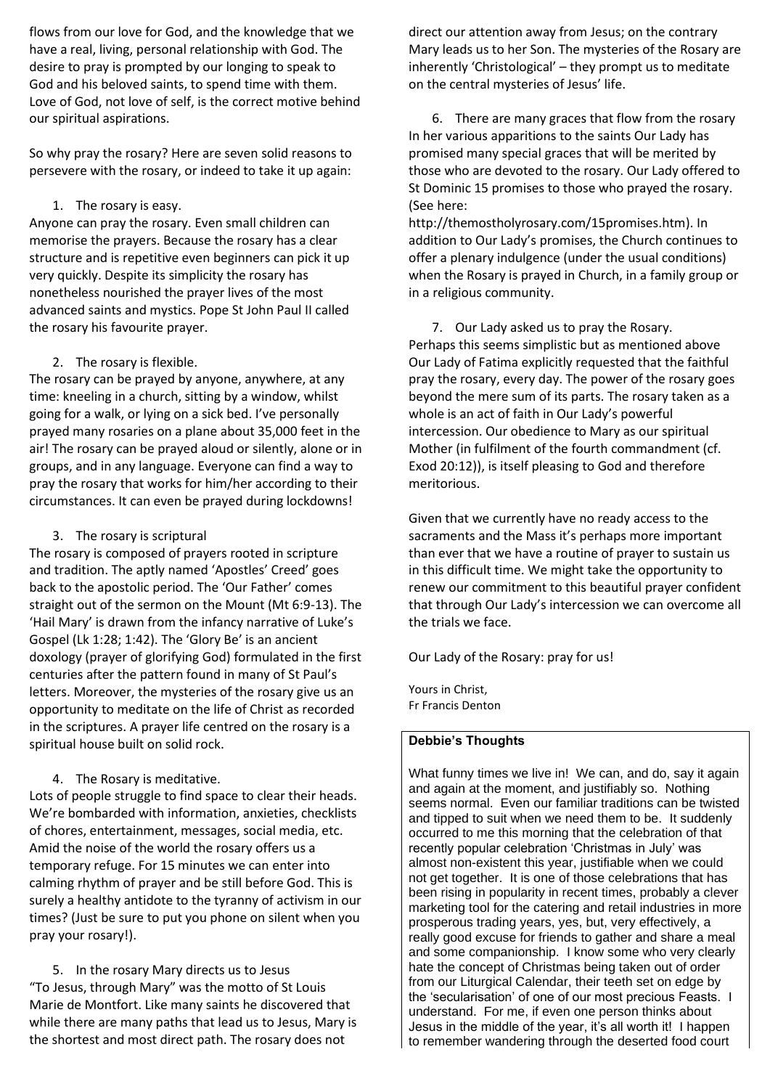flows from our love for God, and the knowledge that we have a real, living, personal relationship with God. The desire to pray is prompted by our longing to speak to God and his beloved saints, to spend time with them. Love of God, not love of self, is the correct motive behind our spiritual aspirations.

So why pray the rosary? Here are seven solid reasons to persevere with the rosary, or indeed to take it up again:

#### 1. The rosary is easy.

Anyone can pray the rosary. Even small children can memorise the prayers. Because the rosary has a clear structure and is repetitive even beginners can pick it up very quickly. Despite its simplicity the rosary has nonetheless nourished the prayer lives of the most advanced saints and mystics. Pope St John Paul II called the rosary his favourite prayer.

#### 2. The rosary is flexible.

The rosary can be prayed by anyone, anywhere, at any time: kneeling in a church, sitting by a window, whilst going for a walk, or lying on a sick bed. I've personally prayed many rosaries on a plane about 35,000 feet in the air! The rosary can be prayed aloud or silently, alone or in groups, and in any language. Everyone can find a way to pray the rosary that works for him/her according to their circumstances. It can even be prayed during lockdowns!

#### 3. The rosary is scriptural

The rosary is composed of prayers rooted in scripture and tradition. The aptly named 'Apostles' Creed' goes back to the apostolic period. The 'Our Father' comes straight out of the sermon on the Mount (Mt 6:9-13). The 'Hail Mary' is drawn from the infancy narrative of Luke's Gospel (Lk 1:28; 1:42). The 'Glory Be' is an ancient doxology (prayer of glorifying God) formulated in the first centuries after the pattern found in many of St Paul's letters. Moreover, the mysteries of the rosary give us an opportunity to meditate on the life of Christ as recorded in the scriptures. A prayer life centred on the rosary is a spiritual house built on solid rock.

#### 4. The Rosary is meditative.

Lots of people struggle to find space to clear their heads. We're bombarded with information, anxieties, checklists of chores, entertainment, messages, social media, etc. Amid the noise of the world the rosary offers us a temporary refuge. For 15 minutes we can enter into calming rhythm of prayer and be still before God. This is surely a healthy antidote to the tyranny of activism in our times? (Just be sure to put you phone on silent when you pray your rosary!).

5. In the rosary Mary directs us to Jesus "To Jesus, through Mary" was the motto of St Louis Marie de Montfort. Like many saints he discovered that while there are many paths that lead us to Jesus, Mary is the shortest and most direct path. The rosary does not

direct our attention away from Jesus; on the contrary Mary leads us to her Son. The mysteries of the Rosary are inherently 'Christological' – they prompt us to meditate on the central mysteries of Jesus' life.

6. There are many graces that flow from the rosary In her various apparitions to the saints Our Lady has promised many special graces that will be merited by those who are devoted to the rosary. Our Lady offered to St Dominic 15 promises to those who prayed the rosary. (See here:

http://themostholyrosary.com/15promises.htm). In addition to Our Lady's promises, the Church continues to offer a plenary indulgence (under the usual conditions) when the Rosary is prayed in Church, in a family group or in a religious community.

7. Our Lady asked us to pray the Rosary. Perhaps this seems simplistic but as mentioned above Our Lady of Fatima explicitly requested that the faithful pray the rosary, every day. The power of the rosary goes beyond the mere sum of its parts. The rosary taken as a whole is an act of faith in Our Lady's powerful intercession. Our obedience to Mary as our spiritual Mother (in fulfilment of the fourth commandment (cf. Exod 20:12)), is itself pleasing to God and therefore meritorious.

Given that we currently have no ready access to the sacraments and the Mass it's perhaps more important than ever that we have a routine of prayer to sustain us in this difficult time. We might take the opportunity to renew our commitment to this beautiful prayer confident that through Our Lady's intercession we can overcome all the trials we face.

Our Lady of the Rosary: pray for us!

Yours in Christ, Fr Francis Denton

#### **Debbie's Thoughts**

What funny times we live in! We can, and do, say it again and again at the moment, and justifiably so. Nothing seems normal. Even our familiar traditions can be twisted and tipped to suit when we need them to be. It suddenly occurred to me this morning that the celebration of that recently popular celebration 'Christmas in July' was almost non-existent this year, justifiable when we could not get together. It is one of those celebrations that has been rising in popularity in recent times, probably a clever marketing tool for the catering and retail industries in more prosperous trading years, yes, but, very effectively, a really good excuse for friends to gather and share a meal and some companionship. I know some who very clearly hate the concept of Christmas being taken out of order from our Liturgical Calendar, their teeth set on edge by the 'secularisation' of one of our most precious Feasts. I understand. For me, if even one person thinks about Jesus in the middle of the year, it's all worth it! I happen to remember wandering through the deserted food court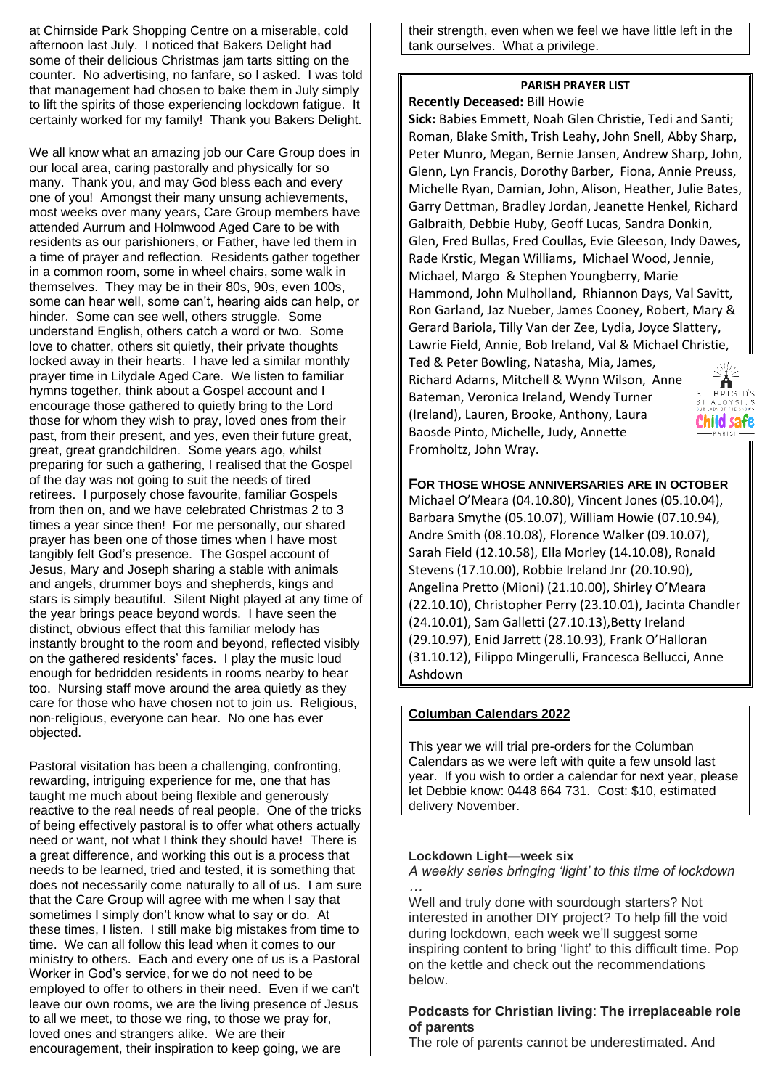at Chirnside Park Shopping Centre on a miserable, cold afternoon last July. I noticed that Bakers Delight had some of their delicious Christmas jam tarts sitting on the counter. No advertising, no fanfare, so I asked. I was told that management had chosen to bake them in July simply to lift the spirits of those experiencing lockdown fatigue. It certainly worked for my family! Thank you Bakers Delight.

We all know what an amazing job our Care Group does in our local area, caring pastorally and physically for so many. Thank you, and may God bless each and every one of you! Amongst their many unsung achievements, most weeks over many years, Care Group members have attended Aurrum and Holmwood Aged Care to be with residents as our parishioners, or Father, have led them in a time of prayer and reflection. Residents gather together in a common room, some in wheel chairs, some walk in themselves. They may be in their 80s, 90s, even 100s, some can hear well, some can't, hearing aids can help, or hinder. Some can see well, others struggle. Some understand English, others catch a word or two. Some love to chatter, others sit quietly, their private thoughts locked away in their hearts. I have led a similar monthly prayer time in Lilydale Aged Care. We listen to familiar hymns together, think about a Gospel account and I encourage those gathered to quietly bring to the Lord those for whom they wish to pray, loved ones from their past, from their present, and yes, even their future great, great, great grandchildren. Some years ago, whilst preparing for such a gathering, I realised that the Gospel of the day was not going to suit the needs of tired retirees. I purposely chose favourite, familiar Gospels from then on, and we have celebrated Christmas 2 to 3 times a year since then! For me personally, our shared prayer has been one of those times when I have most tangibly felt God's presence. The Gospel account of Jesus, Mary and Joseph sharing a stable with animals and angels, drummer boys and shepherds, kings and stars is simply beautiful. Silent Night played at any time of the year brings peace beyond words. I have seen the distinct, obvious effect that this familiar melody has instantly brought to the room and beyond, reflected visibly on the gathered residents' faces. I play the music loud enough for bedridden residents in rooms nearby to hear too. Nursing staff move around the area quietly as they care for those who have chosen not to join us. Religious, non-religious, everyone can hear. No one has ever objected.

Pastoral visitation has been a challenging, confronting, rewarding, intriguing experience for me, one that has taught me much about being flexible and generously reactive to the real needs of real people. One of the tricks of being effectively pastoral is to offer what others actually need or want, not what I think they should have! There is a great difference, and working this out is a process that needs to be learned, tried and tested, it is something that does not necessarily come naturally to all of us. I am sure that the Care Group will agree with me when I say that sometimes I simply don't know what to say or do. At these times, I listen. I still make big mistakes from time to time. We can all follow this lead when it comes to our ministry to others. Each and every one of us is a Pastoral Worker in God's service, for we do not need to be employed to offer to others in their need. Even if we can't leave our own rooms, we are the living presence of Jesus to all we meet, to those we ring, to those we pray for, loved ones and strangers alike. We are their encouragement, their inspiration to keep going, we are

their strength, even when we feel we have little left in the tank ourselves. What a privilege.

# **PARISH PRAYER LIST**

**Recently Deceased:** Bill Howie **Sick:** Babies Emmett, Noah Glen Christie, Tedi and Santi; Roman, Blake Smith, Trish Leahy, John Snell, Abby Sharp, Peter Munro, Megan, Bernie Jansen, Andrew Sharp, John, Glenn, Lyn Francis, Dorothy Barber, Fiona, Annie Preuss, Michelle Ryan, Damian, John, Alison, Heather, Julie Bates, Garry Dettman, Bradley Jordan, Jeanette Henkel, Richard Galbraith, Debbie Huby, Geoff Lucas, Sandra Donkin, Glen, Fred Bullas, Fred Coullas, Evie Gleeson, Indy Dawes, Rade Krstic, Megan Williams, Michael Wood, Jennie, Michael, Margo & Stephen Youngberry, Marie Hammond, John Mulholland, Rhiannon Days, Val Savitt, Ron Garland, Jaz Nueber, James Cooney, Robert, Mary & Gerard Bariola, Tilly Van der Zee, Lydia, Joyce Slattery, Lawrie Field, Annie, Bob Ireland, Val & Michael Christie, Ted & Peter Bowling, Natasha, Mia, James, Richard Adams, Mitchell & Wynn Wilson, Anne A Bateman, Veronica Ireland, Wendy Turner AL ON (Ireland), Lauren, Brooke, Anthony, Laura Baosde Pinto, Michelle, Judy, Annette Fromholtz, John Wray.

**FOR THOSE WHOSE ANNIVERSARIES ARE IN OCTOBER** Michael O'Meara (04.10.80), Vincent Jones (05.10.04), Barbara Smythe (05.10.07), William Howie (07.10.94), Andre Smith (08.10.08), Florence Walker (09.10.07), Sarah Field (12.10.58), Ella Morley (14.10.08), Ronald Stevens (17.10.00), Robbie Ireland Jnr (20.10.90), Angelina Pretto (Mioni) (21.10.00), Shirley O'Meara (22.10.10), Christopher Perry (23.10.01), Jacinta Chandler (24.10.01), Sam Galletti (27.10.13),Betty Ireland (29.10.97), Enid Jarrett (28.10.93), Frank O'Halloran (31.10.12), Filippo Mingerulli, Francesca Bellucci, Anne Ashdown

#### **Columban Calendars 2022**

This year we will trial pre-orders for the Columban Calendars as we were left with quite a few unsold last year. If you wish to order a calendar for next year, please let Debbie know: 0448 664 731. Cost: \$10, estimated delivery November.

#### **Lockdown Light—week six**

*A weekly series bringing 'light' to this time of lockdown …*

Well and truly done with sourdough starters? Not interested in another DIY project? To help fill the void during lockdown, each week we'll suggest some inspiring content to bring 'light' to this difficult time. Pop on the kettle and check out the recommendations below.

## **Podcasts for Christian living**: **The irreplaceable role of parents**

The role of parents cannot be underestimated. And